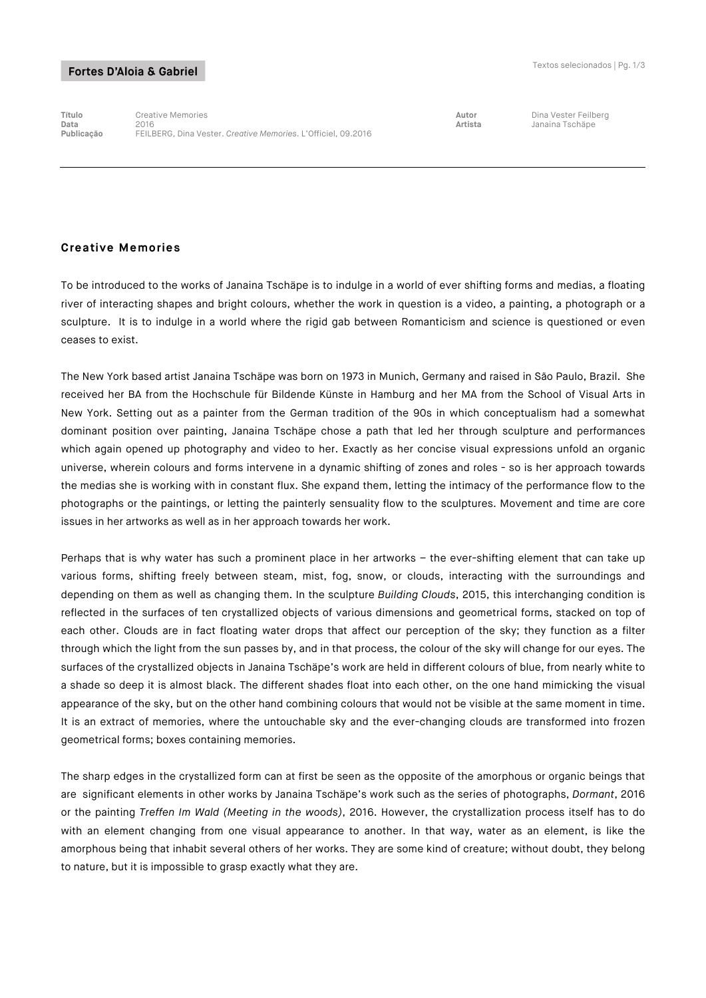# Fortes D'Aloia & Gabriel

**Título** Creative Memories **Autor** Dina Vester Feilberg **Data** 2016 **Artista** Janaina Tschäpe **Publicação** FEILBERG, Dina Vester. *Creative Memories*. L'Officiel, 09.2016

## **Creative Memories**

To be introduced to the works of Janaina Tschäpe is to indulge in a world of ever shifting forms and medias, a floating river of interacting shapes and bright colours, whether the work in question is a video, a painting, a photograph or a sculpture. It is to indulge in a world where the rigid gab between Romanticism and science is questioned or even ceases to exist.

The New York based artist Janaina Tschäpe was born on 1973 in Munich, Germany and raised in São Paulo, Brazil. She received her BA from the Hochschule für Bildende Künste in Hamburg and her MA from the School of Visual Arts in New York. Setting out as a painter from the German tradition of the 90s in which conceptualism had a somewhat dominant position over painting, Janaina Tschäpe chose a path that led her through sculpture and performances which again opened up photography and video to her. Exactly as her concise visual expressions unfold an organic universe, wherein colours and forms intervene in a dynamic shifting of zones and roles - so is her approach towards the medias she is working with in constant flux. She expand them, letting the intimacy of the performance flow to the photographs or the paintings, or letting the painterly sensuality flow to the sculptures. Movement and time are core issues in her artworks as well as in her approach towards her work.

Perhaps that is why water has such a prominent place in her artworks – the ever-shifting element that can take up various forms, shifting freely between steam, mist, fog, snow, or clouds, interacting with the surroundings and depending on them as well as changing them. In the sculpture *Building Clouds*, 2015, this interchanging condition is reflected in the surfaces of ten crystallized objects of various dimensions and geometrical forms, stacked on top of each other. Clouds are in fact floating water drops that affect our perception of the sky; they function as a filter through which the light from the sun passes by, and in that process, the colour of the sky will change for our eyes. The surfaces of the crystallized objects in Janaina Tschäpe's work are held in different colours of blue, from nearly white to a shade so deep it is almost black. The different shades float into each other, on the one hand mimicking the visual appearance of the sky, but on the other hand combining colours that would not be visible at the same moment in time. It is an extract of memories, where the untouchable sky and the ever-changing clouds are transformed into frozen geometrical forms; boxes containing memories.

The sharp edges in the crystallized form can at first be seen as the opposite of the amorphous or organic beings that are significant elements in other works by Janaina Tschäpe's work such as the series of photographs, *Dormant*, 2016 or the painting *Treffen Im Wald (Meeting in the woods)*, 2016. However, the crystallization process itself has to do with an element changing from one visual appearance to another. In that way, water as an element, is like the amorphous being that inhabit several others of her works. They are some kind of creature; without doubt, they belong to nature, but it is impossible to grasp exactly what they are.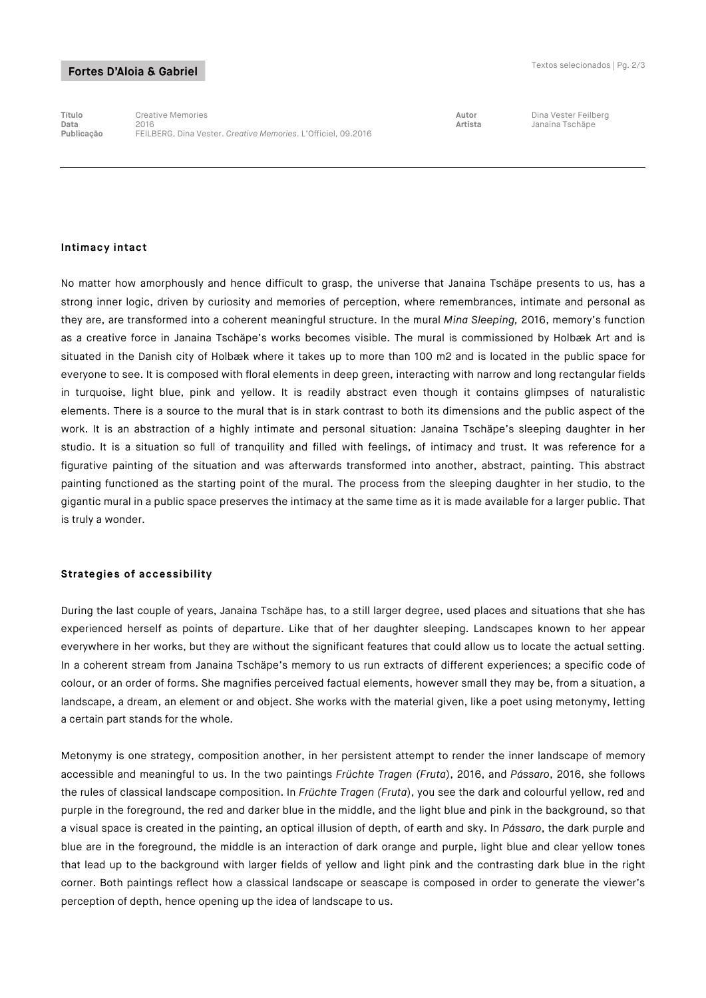# Fortes D'Aloia & Gabriel

**Título** Creative Memories **Autor** Dina Vester Feilberg **Data** 2016 **Artista** Janaina Tschäpe **Publicação** FEILBERG, Dina Vester. *Creative Memories*. L'Officiel, 09.2016

#### **Intimacy intact**

No matter how amorphously and hence difficult to grasp, the universe that Janaina Tschäpe presents to us, has a strong inner logic, driven by curiosity and memories of perception, where remembrances, intimate and personal as they are, are transformed into a coherent meaningful structure. In the mural *Mina Sleeping,* 2016, memory's function as a creative force in Janaina Tschäpe's works becomes visible. The mural is commissioned by Holbæk Art and is situated in the Danish city of Holbæk where it takes up to more than 100 m2 and is located in the public space for everyone to see. It is composed with floral elements in deep green, interacting with narrow and long rectangular fields in turquoise, light blue, pink and yellow. It is readily abstract even though it contains glimpses of naturalistic elements. There is a source to the mural that is in stark contrast to both its dimensions and the public aspect of the work. It is an abstraction of a highly intimate and personal situation: Janaina Tschäpe's sleeping daughter in her studio. It is a situation so full of tranquility and filled with feelings, of intimacy and trust. It was reference for a figurative painting of the situation and was afterwards transformed into another, abstract, painting. This abstract painting functioned as the starting point of the mural. The process from the sleeping daughter in her studio, to the gigantic mural in a public space preserves the intimacy at the same time as it is made available for a larger public. That is truly a wonder.

### **Strategies of accessibility**

During the last couple of years, Janaina Tschäpe has, to a still larger degree, used places and situations that she has experienced herself as points of departure. Like that of her daughter sleeping. Landscapes known to her appear everywhere in her works, but they are without the significant features that could allow us to locate the actual setting. In a coherent stream from Janaina Tschäpe's memory to us run extracts of different experiences; a specific code of colour, or an order of forms. She magnifies perceived factual elements, however small they may be, from a situation, a landscape, a dream, an element or and object. She works with the material given, like a poet using metonymy, letting a certain part stands for the whole.

Metonymy is one strategy, composition another, in her persistent attempt to render the inner landscape of memory accessible and meaningful to us. In the two paintings *Früchte Tragen (Fruta*), 2016, and *Pássaro*, 2016, she follows the rules of classical landscape composition. In *Früchte Tragen (Fruta*), you see the dark and colourful yellow, red and purple in the foreground, the red and darker blue in the middle, and the light blue and pink in the background, so that a visual space is created in the painting, an optical illusion of depth, of earth and sky. In *Pássaro*, the dark purple and blue are in the foreground, the middle is an interaction of dark orange and purple, light blue and clear yellow tones that lead up to the background with larger fields of yellow and light pink and the contrasting dark blue in the right corner. Both paintings reflect how a classical landscape or seascape is composed in order to generate the viewer's perception of depth, hence opening up the idea of landscape to us.